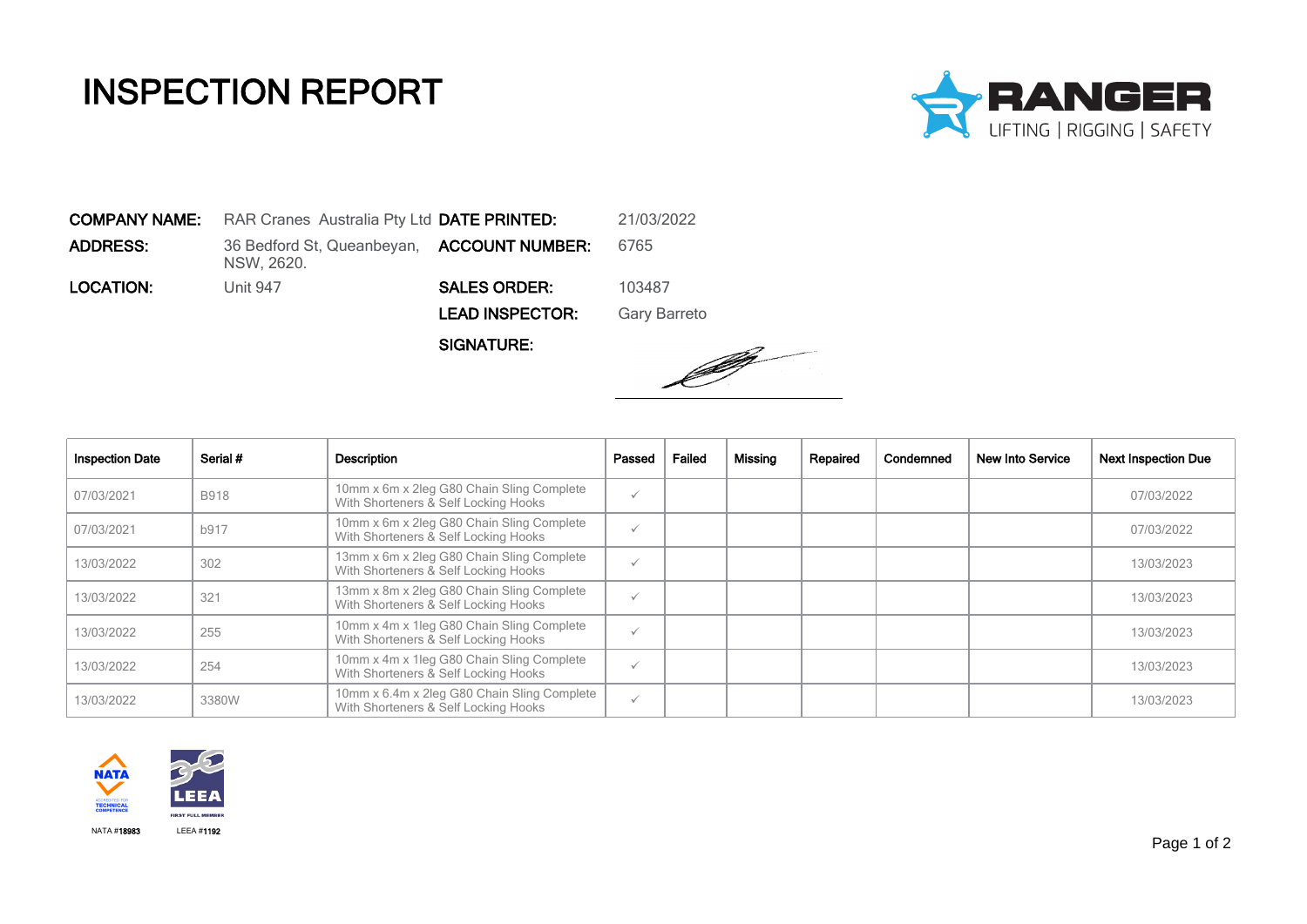## INSPECTION REPORT



COMPANY NAME: RAR Cranes Australia Pty Ltd DATE PRINTED: 21/03/2022 **ADDRESS:** 36 Bedford St, Queanbeyan, **ACCOUNT NUMBER:** 6765 NSW, 2620. **LOCATION:** Unit 947 **SALES ORDER:** 103487 LEAD INSPECTOR: Gary Barreto

SIGNATURE:



| <b>Inspection Date</b> | Serial #    | Description                                                                         | Passed       | Failed | Missing | Repaired | Condemned | New Into Service | <b>Next Inspection Due</b> |
|------------------------|-------------|-------------------------------------------------------------------------------------|--------------|--------|---------|----------|-----------|------------------|----------------------------|
| 07/03/2021             | <b>B918</b> | 10mm x 6m x 2leg G80 Chain Sling Complete<br>With Shorteners & Self Locking Hooks   | $\checkmark$ |        |         |          |           |                  | 07/03/2022                 |
| 07/03/2021             | b917        | 10mm x 6m x 2leg G80 Chain Sling Complete<br>With Shorteners & Self Locking Hooks   | $\checkmark$ |        |         |          |           |                  | 07/03/2022                 |
| 13/03/2022             | 302         | 13mm x 6m x 2leg G80 Chain Sling Complete<br>With Shorteners & Self Locking Hooks   | $\checkmark$ |        |         |          |           |                  | 13/03/2023                 |
| 13/03/2022             | 321         | 13mm x 8m x 2leg G80 Chain Sling Complete<br>With Shorteners & Self Locking Hooks   | $\checkmark$ |        |         |          |           |                  | 13/03/2023                 |
| 13/03/2022             | 255         | 10mm x 4m x 1leg G80 Chain Sling Complete<br>With Shorteners & Self Locking Hooks   | $\checkmark$ |        |         |          |           |                  | 13/03/2023                 |
| 13/03/2022             | 254         | 10mm x 4m x 1leg G80 Chain Sling Complete<br>With Shorteners & Self Locking Hooks   | $\checkmark$ |        |         |          |           |                  | 13/03/2023                 |
| 13/03/2022             | 3380W       | 10mm x 6.4m x 2leg G80 Chain Sling Complete<br>With Shorteners & Self Locking Hooks | $\checkmark$ |        |         |          |           |                  | 13/03/2023                 |